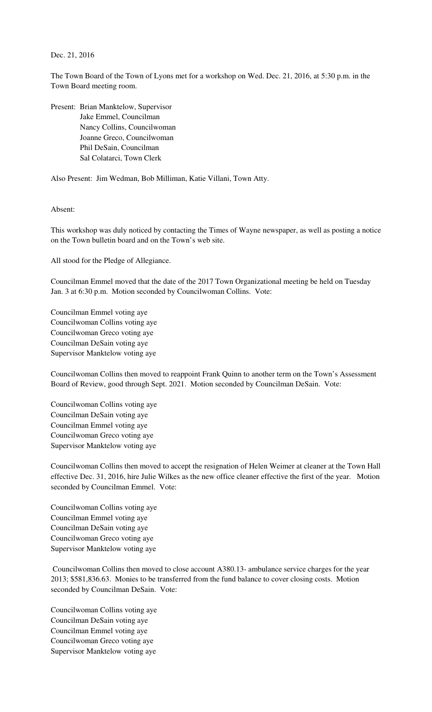Dec. 21, 2016

The Town Board of the Town of Lyons met for a workshop on Wed. Dec. 21, 2016, at 5:30 p.m. in the Town Board meeting room.

Present: Brian Manktelow, Supervisor Jake Emmel, Councilman Nancy Collins, Councilwoman Joanne Greco, Councilwoman Phil DeSain, Councilman Sal Colatarci, Town Clerk

Also Present: Jim Wedman, Bob Milliman, Katie Villani, Town Atty.

Absent:

This workshop was duly noticed by contacting the Times of Wayne newspaper, as well as posting a notice on the Town bulletin board and on the Town's web site.

All stood for the Pledge of Allegiance.

Councilman Emmel moved that the date of the 2017 Town Organizational meeting be held on Tuesday Jan. 3 at 6:30 p.m. Motion seconded by Councilwoman Collins. Vote:

Councilman Emmel voting aye Councilwoman Collins voting aye Councilwoman Greco voting aye Councilman DeSain voting aye Supervisor Manktelow voting aye

Councilwoman Collins then moved to reappoint Frank Quinn to another term on the Town's Assessment Board of Review, good through Sept. 2021. Motion seconded by Councilman DeSain. Vote:

Councilwoman Collins voting aye Councilman DeSain voting aye Councilman Emmel voting aye Councilwoman Greco voting aye Supervisor Manktelow voting aye

Councilwoman Collins then moved to accept the resignation of Helen Weimer at cleaner at the Town Hall effective Dec. 31, 2016, hire Julie Wilkes as the new office cleaner effective the first of the year. Motion seconded by Councilman Emmel. Vote:

Councilwoman Collins voting aye Councilman Emmel voting aye Councilman DeSain voting aye Councilwoman Greco voting aye Supervisor Manktelow voting aye

 Councilwoman Collins then moved to close account A380.13- ambulance service charges for the year 2013; \$581,836.63. Monies to be transferred from the fund balance to cover closing costs. Motion seconded by Councilman DeSain. Vote:

Councilwoman Collins voting aye Councilman DeSain voting aye Councilman Emmel voting aye Councilwoman Greco voting aye Supervisor Manktelow voting aye